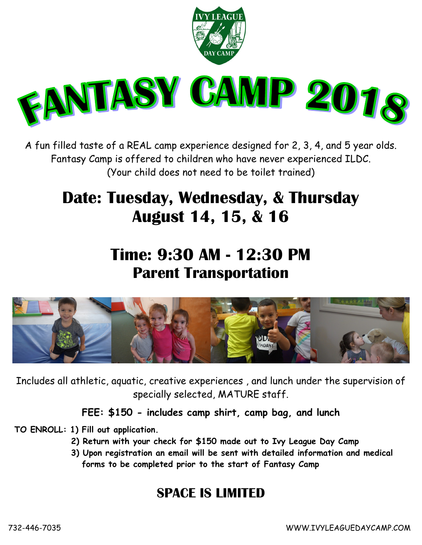

A fun filled taste of a REAL camp experience designed for 2, 3, 4, and 5 year olds. Fantasy Camp is offered to children who have never experienced ILDC. (Your child does not need to be toilet trained)

## **Date: Tuesday, Wednesday, & Thursday August 14, 15, & 16**

## **Time: 9:30 AM - 12:30 PM Parent Transportation**



Includes all athletic, aquatic, creative experiences , and lunch under the supervision of specially selected, MATURE staff.

**FEE: \$150 - includes camp shirt, camp bag, and lunch**

**TO ENROLL: 1) Fill out application.**

- **2) Return with your check for \$150 made out to Ivy League Day Camp**
- **3) Upon registration an email will be sent with detailed information and medical forms to be completed prior to the start of Fantasy Camp**

## **SPACE IS LIMITED**